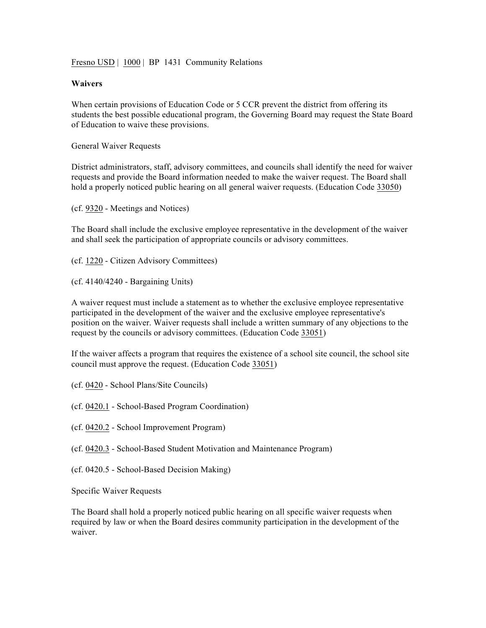Fresno USD | 1000 | BP 1431 Community Relations

## **Waivers**

When certain provisions of Education Code or 5 CCR prevent the district from offering its students the best possible educational program, the Governing Board may request the State Board of Education to waive these provisions.

General Waiver Requests

District administrators, staff, advisory committees, and councils shall identify the need for waiver requests and provide the Board information needed to make the waiver request. The Board shall hold a properly noticed public hearing on all general waiver requests. (Education Code 33050)

(cf. 9320 - Meetings and Notices)

The Board shall include the exclusive employee representative in the development of the waiver and shall seek the participation of appropriate councils or advisory committees.

(cf. 1220 - Citizen Advisory Committees)

(cf. 4140/4240 - Bargaining Units)

A waiver request must include a statement as to whether the exclusive employee representative participated in the development of the waiver and the exclusive employee representative's position on the waiver. Waiver requests shall include a written summary of any objections to the request by the councils or advisory committees. (Education Code 33051)

If the waiver affects a program that requires the existence of a school site council, the school site council must approve the request. (Education Code 33051)

- (cf. 0420 School Plans/Site Councils)
- (cf. 0420.1 School-Based Program Coordination)
- (cf. 0420.2 School Improvement Program)
- (cf. 0420.3 School-Based Student Motivation and Maintenance Program)
- (cf. 0420.5 School-Based Decision Making)

Specific Waiver Requests

The Board shall hold a properly noticed public hearing on all specific waiver requests when required by law or when the Board desires community participation in the development of the waiver.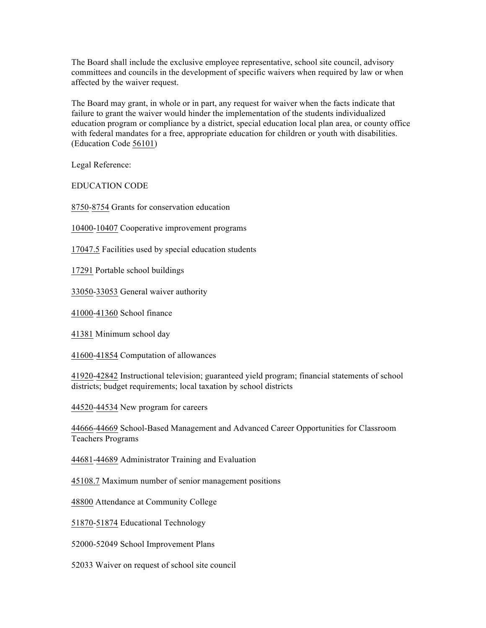The Board shall include the exclusive employee representative, school site council, advisory committees and councils in the development of specific waivers when required by law or when affected by the waiver request.

The Board may grant, in whole or in part, any request for waiver when the facts indicate that failure to grant the waiver would hinder the implementation of the students individualized education program or compliance by a district, special education local plan area, or county office with federal mandates for a free, appropriate education for children or youth with disabilities. (Education Code 56101)

Legal Reference:

EDUCATION CODE

8750-8754 Grants for conservation education

10400-10407 Cooperative improvement programs

17047.5 Facilities used by special education students

17291 Portable school buildings

33050-33053 General waiver authority

41000-41360 School finance

41381 Minimum school day

41600-41854 Computation of allowances

41920-42842 Instructional television; guaranteed yield program; financial statements of school districts; budget requirements; local taxation by school districts

44520-44534 New program for careers

44666-44669 School-Based Management and Advanced Career Opportunities for Classroom Teachers Programs

44681-44689 Administrator Training and Evaluation

45108.7 Maximum number of senior management positions

48800 Attendance at Community College

51870-51874 Educational Technology

52000-52049 School Improvement Plans

52033 Waiver on request of school site council